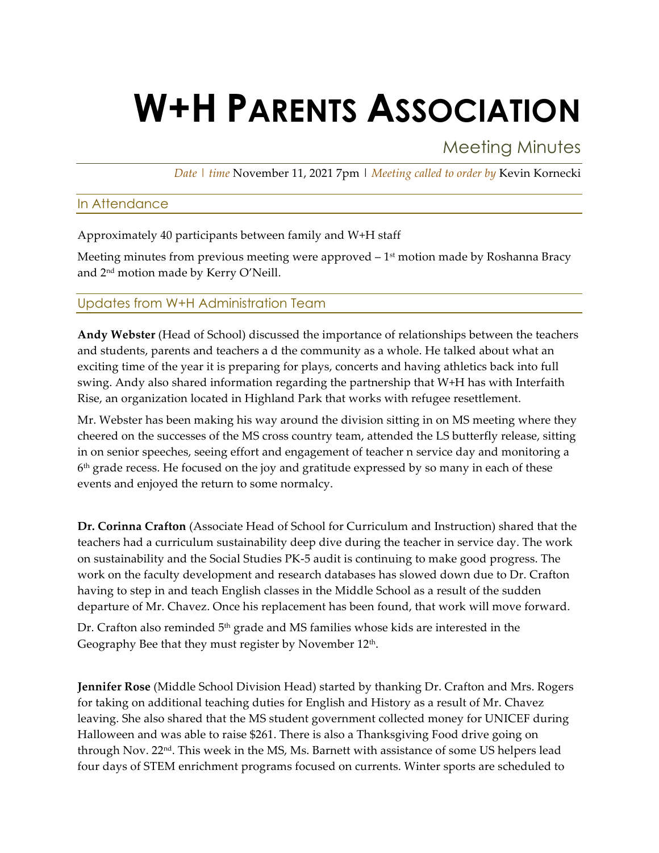# **W+H PARENTS ASSOCIATION**

# Meeting Minutes

*Date | time* November 11, 2021 7pm | *Meeting called to order by* Kevin Kornecki

# In Attendance

Approximately 40 participants between family and W+H staff

Meeting minutes from previous meeting were approved  $-1<sup>st</sup>$  motion made by Roshanna Bracy and 2nd motion made by Kerry O'Neill.

# Updates from W+H Administration Team

**Andy Webster** (Head of School) discussed the importance of relationships between the teachers and students, parents and teachers a d the community as a whole. He talked about what an exciting time of the year it is preparing for plays, concerts and having athletics back into full swing. Andy also shared information regarding the partnership that W+H has with Interfaith Rise, an organization located in Highland Park that works with refugee resettlement.

Mr. Webster has been making his way around the division sitting in on MS meeting where they cheered on the successes of the MS cross country team, attended the LS butterfly release, sitting in on senior speeches, seeing effort and engagement of teacher n service day and monitoring a  $6<sup>th</sup>$  grade recess. He focused on the joy and gratitude expressed by so many in each of these events and enjoyed the return to some normalcy.

**Dr. Corinna Crafton** (Associate Head of School for Curriculum and Instruction) shared that the teachers had a curriculum sustainability deep dive during the teacher in service day. The work on sustainability and the Social Studies PK-5 audit is continuing to make good progress. The work on the faculty development and research databases has slowed down due to Dr. Crafton having to step in and teach English classes in the Middle School as a result of the sudden departure of Mr. Chavez. Once his replacement has been found, that work will move forward.

Dr. Crafton also reminded  $5<sup>th</sup>$  grade and MS families whose kids are interested in the Geography Bee that they must register by November 12<sup>th</sup>.

**Jennifer Rose** (Middle School Division Head) started by thanking Dr. Crafton and Mrs. Rogers for taking on additional teaching duties for English and History as a result of Mr. Chavez leaving. She also shared that the MS student government collected money for UNICEF during Halloween and was able to raise \$261. There is also a Thanksgiving Food drive going on through Nov. 22<sup>nd</sup>. This week in the MS, Ms. Barnett with assistance of some US helpers lead four days of STEM enrichment programs focused on currents. Winter sports are scheduled to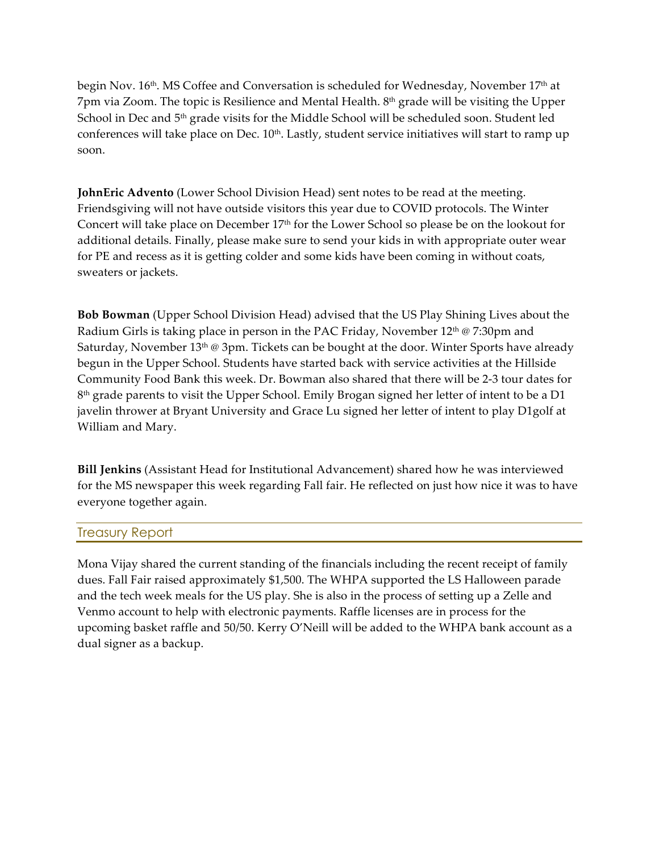begin Nov. 16<sup>th</sup>. MS Coffee and Conversation is scheduled for Wednesday, November 17<sup>th</sup> at 7pm via Zoom. The topic is Resilience and Mental Health. 8th grade will be visiting the Upper School in Dec and 5<sup>th</sup> grade visits for the Middle School will be scheduled soon. Student led conferences will take place on Dec. 10<sup>th</sup>. Lastly, student service initiatives will start to ramp up soon.

**JohnEric Advento** (Lower School Division Head) sent notes to be read at the meeting. Friendsgiving will not have outside visitors this year due to COVID protocols. The Winter Concert will take place on December 17<sup>th</sup> for the Lower School so please be on the lookout for additional details. Finally, please make sure to send your kids in with appropriate outer wear for PE and recess as it is getting colder and some kids have been coming in without coats, sweaters or jackets.

**Bob Bowman** (Upper School Division Head) advised that the US Play Shining Lives about the Radium Girls is taking place in person in the PAC Friday, November 12<sup>th</sup> @ 7:30pm and Saturday, November  $13<sup>th</sup>$  @ 3pm. Tickets can be bought at the door. Winter Sports have already begun in the Upper School. Students have started back with service activities at the Hillside Community Food Bank this week. Dr. Bowman also shared that there will be 2-3 tour dates for 8<sup>th</sup> grade parents to visit the Upper School. Emily Brogan signed her letter of intent to be a D1 javelin thrower at Bryant University and Grace Lu signed her letter of intent to play D1golf at William and Mary.

**Bill Jenkins** (Assistant Head for Institutional Advancement) shared how he was interviewed for the MS newspaper this week regarding Fall fair. He reflected on just how nice it was to have everyone together again.

### Treasury Report

Mona Vijay shared the current standing of the financials including the recent receipt of family dues. Fall Fair raised approximately \$1,500. The WHPA supported the LS Halloween parade and the tech week meals for the US play. She is also in the process of setting up a Zelle and Venmo account to help with electronic payments. Raffle licenses are in process for the upcoming basket raffle and 50/50. Kerry O'Neill will be added to the WHPA bank account as a dual signer as a backup.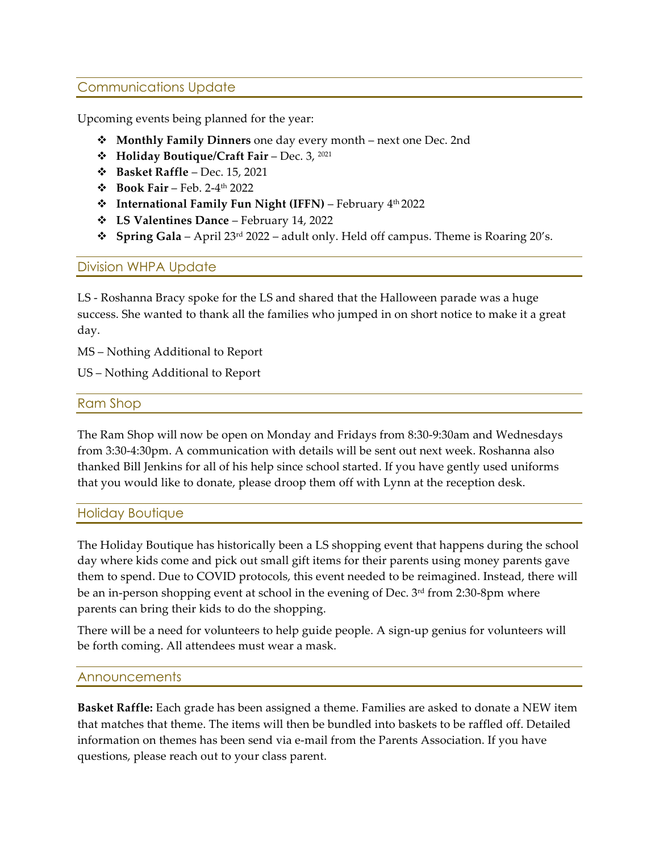# Communications Update

Upcoming events being planned for the year:

- v **Monthly Family Dinners** one day every month next one Dec. 2nd
- v **Holiday Boutique/Craft Fair** Dec. 3, 2021
- v **Basket Raffle**  Dec. 15, 2021
- v **Book Fair** Feb. 2-4th 2022
- **Example 1 Fight COV 10 International Family Fun Night (IFFN)** February 4<sup>th</sup> 2022
- v **LS Valentines Dance** February 14, 2022
- v **Spring Gala** April 23rd 2022 adult only. Held off campus. Theme is Roaring 20's.

# Division WHPA Update

LS - Roshanna Bracy spoke for the LS and shared that the Halloween parade was a huge success. She wanted to thank all the families who jumped in on short notice to make it a great day.

MS – Nothing Additional to Report

US – Nothing Additional to Report

### Ram Shop

The Ram Shop will now be open on Monday and Fridays from 8:30-9:30am and Wednesdays from 3:30-4:30pm. A communication with details will be sent out next week. Roshanna also thanked Bill Jenkins for all of his help since school started. If you have gently used uniforms that you would like to donate, please droop them off with Lynn at the reception desk.

### Holiday Boutique

The Holiday Boutique has historically been a LS shopping event that happens during the school day where kids come and pick out small gift items for their parents using money parents gave them to spend. Due to COVID protocols, this event needed to be reimagined. Instead, there will be an in-person shopping event at school in the evening of Dec. 3<sup>rd</sup> from 2:30-8pm where parents can bring their kids to do the shopping.

There will be a need for volunteers to help guide people. A sign-up genius for volunteers will be forth coming. All attendees must wear a mask.

### Announcements

**Basket Raffle:** Each grade has been assigned a theme. Families are asked to donate a NEW item that matches that theme. The items will then be bundled into baskets to be raffled off. Detailed information on themes has been send via e-mail from the Parents Association. If you have questions, please reach out to your class parent.